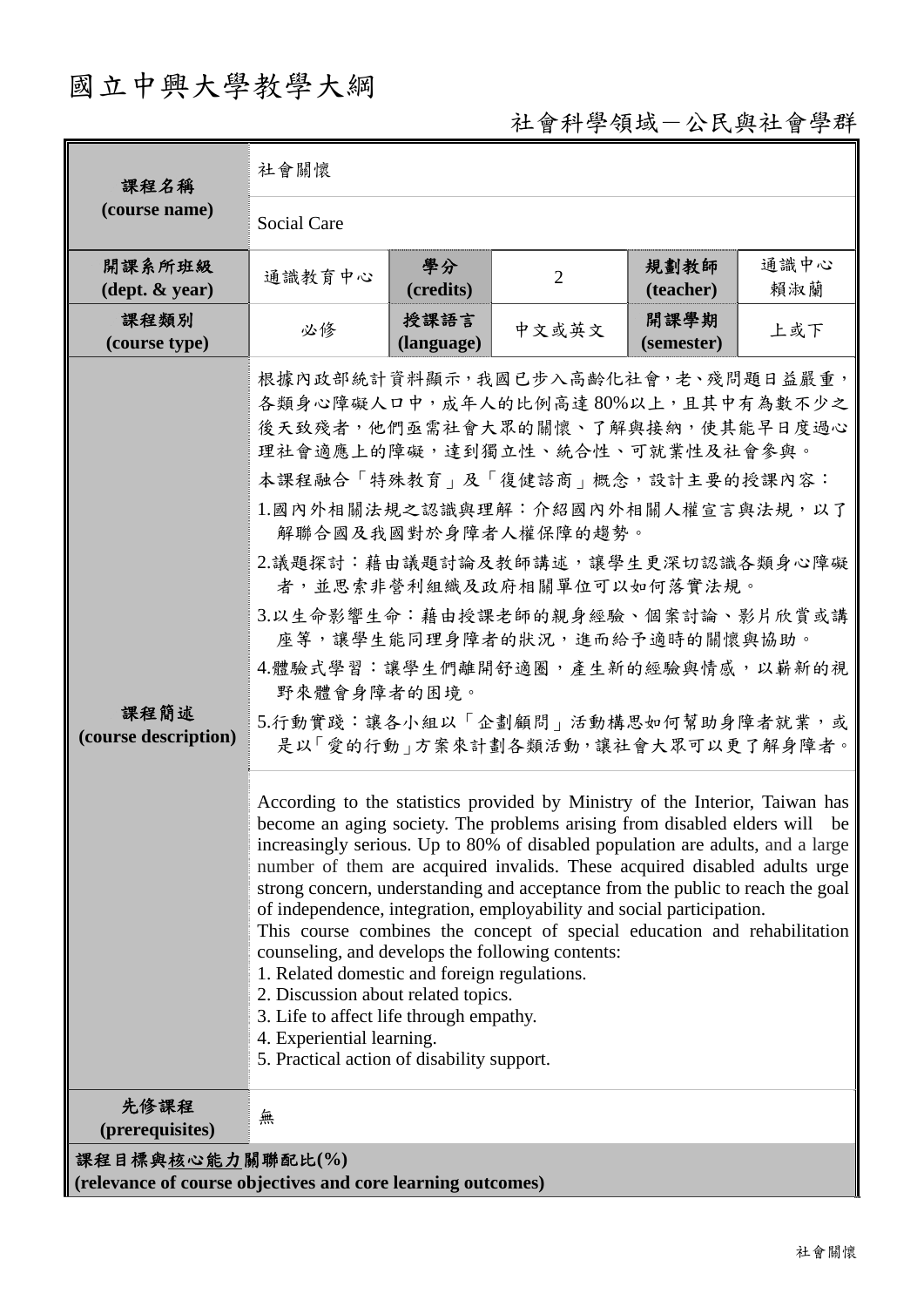# 國立中興大學教學大綱

## 社會科學領域-公民與社會學群

| 課程名稱                                                                            | 社會關懷                                                                                                                                                                                                                                                                         |                    |                                                                                                                                                                                                                                                                                                                                                                                                                                                                                                                                                                                                                                                                                                                                                                                                                                                                                                                                                                                                                                                                           |                    |             |  |  |  |
|---------------------------------------------------------------------------------|------------------------------------------------------------------------------------------------------------------------------------------------------------------------------------------------------------------------------------------------------------------------------|--------------------|---------------------------------------------------------------------------------------------------------------------------------------------------------------------------------------------------------------------------------------------------------------------------------------------------------------------------------------------------------------------------------------------------------------------------------------------------------------------------------------------------------------------------------------------------------------------------------------------------------------------------------------------------------------------------------------------------------------------------------------------------------------------------------------------------------------------------------------------------------------------------------------------------------------------------------------------------------------------------------------------------------------------------------------------------------------------------|--------------------|-------------|--|--|--|
| (course name)                                                                   | Social Care                                                                                                                                                                                                                                                                  |                    |                                                                                                                                                                                                                                                                                                                                                                                                                                                                                                                                                                                                                                                                                                                                                                                                                                                                                                                                                                                                                                                                           |                    |             |  |  |  |
| 開課系所班級<br>$(\text{dept.} \& \text{ year})$                                      | 通識教育中心                                                                                                                                                                                                                                                                       | 學分<br>(credits)    | $\overline{2}$                                                                                                                                                                                                                                                                                                                                                                                                                                                                                                                                                                                                                                                                                                                                                                                                                                                                                                                                                                                                                                                            | 規劃教師<br>(teacher)  | 通識中心<br>賴淑蘭 |  |  |  |
| 課程類別<br>(course type)                                                           | 必修                                                                                                                                                                                                                                                                           | 授課語言<br>(language) | 中文或英文                                                                                                                                                                                                                                                                                                                                                                                                                                                                                                                                                                                                                                                                                                                                                                                                                                                                                                                                                                                                                                                                     | 開課學期<br>(semester) | 上或下         |  |  |  |
| 課程簡述<br>(course description)                                                    | 野來體會身障者的困境。<br>counseling, and develops the following contents:<br>1. Related domestic and foreign regulations.<br>2. Discussion about related topics.<br>3. Life to affect life through empathy.<br>4. Experiential learning.<br>5. Practical action of disability support. |                    | 根據內政部統計資料顯示,我國已步入高齡化社會,老、殘問題日益嚴重,<br>各類身心障礙人口中, 成年人的比例高達80%以上, 且其中有為數不少之<br>後天致殘者,他們亟需社會大眾的關懷、了解與接納,使其能早日度過心<br>理社會適應上的障礙,達到獨立性、統合性、可就業性及社會參與。<br>本課程融合「特殊教育」及「復健諮商」概念,設計主要的授課內容:<br>1.國內外相關法規之認識與理解:介紹國內外相關人權宣言與法規,以了<br>解聯合國及我國對於身障者人權保障的趨勢。<br>2.議題探討:藉由議題討論及教師講述,讓學生更深切認識各類身心障礙<br>者,並思索非營利組織及政府相關單位可以如何落實法規。<br>3.以生命影響生命:藉由授課老師的親身經驗、個案討論、影片欣賞或講<br>座等,讓學生能同理身障者的狀況,進而給予適時的關懷與協助。<br>4.體驗式學習:讓學生們離開舒適圈,產生新的經驗與情感,以嶄新的視<br>5.行動實踐:讓各小組以「企劃顧問」活動構思如何幫助身障者就業,或<br>是以「愛的行動」方案來計劃各類活動,讓社會大眾可以更了解身障者。<br>According to the statistics provided by Ministry of the Interior, Taiwan has<br>become an aging society. The problems arising from disabled elders will be<br>increasingly serious. Up to 80% of disabled population are adults, and a large<br>number of them are acquired invalids. These acquired disabled adults urge<br>strong concern, understanding and acceptance from the public to reach the goal<br>of independence, integration, employability and social participation.<br>This course combines the concept of special education and rehabilitation |                    |             |  |  |  |
| 先修課程<br>(prerequisites)                                                         | 無                                                                                                                                                                                                                                                                            |                    |                                                                                                                                                                                                                                                                                                                                                                                                                                                                                                                                                                                                                                                                                                                                                                                                                                                                                                                                                                                                                                                                           |                    |             |  |  |  |
| 課程目標與核心能力關聯配比(%)<br>(relevance of course objectives and core learning outcomes) |                                                                                                                                                                                                                                                                              |                    |                                                                                                                                                                                                                                                                                                                                                                                                                                                                                                                                                                                                                                                                                                                                                                                                                                                                                                                                                                                                                                                                           |                    |             |  |  |  |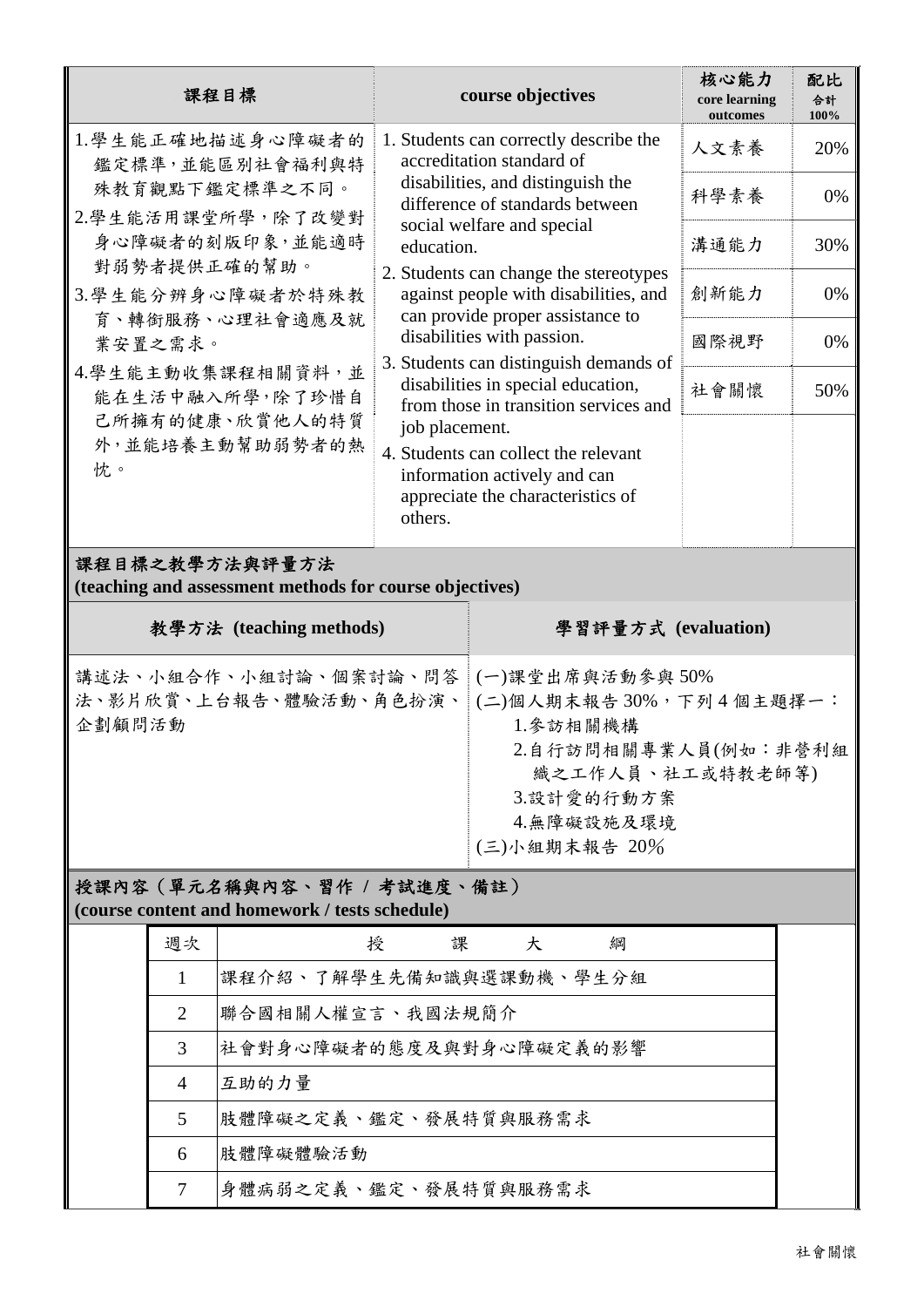| 課程目標                                                                      |                                                                                                                                                                                                    | course objectives                                                                                         | 核心能力<br>core learning<br>outcomes | 配比<br>合計<br>100% |
|---------------------------------------------------------------------------|----------------------------------------------------------------------------------------------------------------------------------------------------------------------------------------------------|-----------------------------------------------------------------------------------------------------------|-----------------------------------|------------------|
| 1.學生能正確地描述身心障礙者的<br>鑑定標準,並能區別社會福利與特                                       |                                                                                                                                                                                                    | 1. Students can correctly describe the<br>accreditation standard of                                       | 人文素養                              | 20%              |
| 殊教育觀點下鑑定標準之不同。<br>2.學生能活用課堂所學,除了改變對                                       |                                                                                                                                                                                                    | disabilities, and distinguish the<br>difference of standards between<br>social welfare and special        | 科學素養                              | 0%               |
| 身心障礙者的刻版印象,並能適時<br>對弱勢者提供正確的幫助。                                           | education.<br>2. Students can change the stereotypes<br>against people with disabilities, and<br>can provide proper assistance to<br>disabilities with passion.                                    |                                                                                                           | 溝通能力                              | 30%              |
| 3.學生能分辨身心障礙者於特殊教<br>育、轉銜服務、心理社會適應及就<br>業安置之需求。                            |                                                                                                                                                                                                    |                                                                                                           | 創新能力                              | 0%               |
|                                                                           |                                                                                                                                                                                                    |                                                                                                           | 國際視野                              | 0%               |
| 4.學生能主動收集課程相關資料,並<br>能在生活中融入所學,除了珍惜自                                      | 3. Students can distinguish demands of<br>disabilities in special education,<br>from those in transition services and                                                                              | 社會關懷                                                                                                      | 50%                               |                  |
| 己所擁有的健康、欣賞他人的特質<br>外,並能培養主動幫助弱勢者的熱<br>忱。                                  | job placement.<br>others.                                                                                                                                                                          | 4. Students can collect the relevant<br>information actively and can<br>appreciate the characteristics of |                                   |                  |
| 課程目標之教學方法與評量方法<br>(teaching and assessment methods for course objectives) |                                                                                                                                                                                                    |                                                                                                           |                                   |                  |
| 教學方法 (teaching methods)                                                   |                                                                                                                                                                                                    | 學習評量方式 (evaluation)                                                                                       |                                   |                  |
| 企劃顧問活動                                                                    | 講述法、小組合作、小組討論、個案討論、問答<br>(一)課堂出席與活動參與50%<br>法、影片欣賞、上台報告、體驗活動、角色扮演、<br>(二)個人期末報告30%,下列4個主題擇一:<br>1. 参訪相關機構<br>2.自行訪問相關專業人員(例如:非營利組<br>織之工作人員、社工或特教老師等)<br>3.設計愛的行動方案<br>4.無障礙設施及環境<br>(三)小組期末報告 20% |                                                                                                           |                                   |                  |

## 授課內容(單元名稱與內容、習作 **/** 考試進度、備註) **(course content and homework / tests schedule)**

| 週次             | 授<br>綱<br>課<br>大        |
|----------------|-------------------------|
|                | 課程介紹、了解學生先備知識與選課動機、學生分組 |
| 2              | 聯合國相關人權宣言、我國法規簡介        |
| 3              | 社會對身心障礙者的態度及與對身心障礙定義的影響 |
| $\overline{4}$ | 互助的力量                   |
| 5              | 肢體障礙之定義、鑑定、發展特質與服務需求    |
| 6              | 肢體障礙體驗活動                |
| 7              | 身體病弱之定義、鑑定、發展特質與服務需求    |